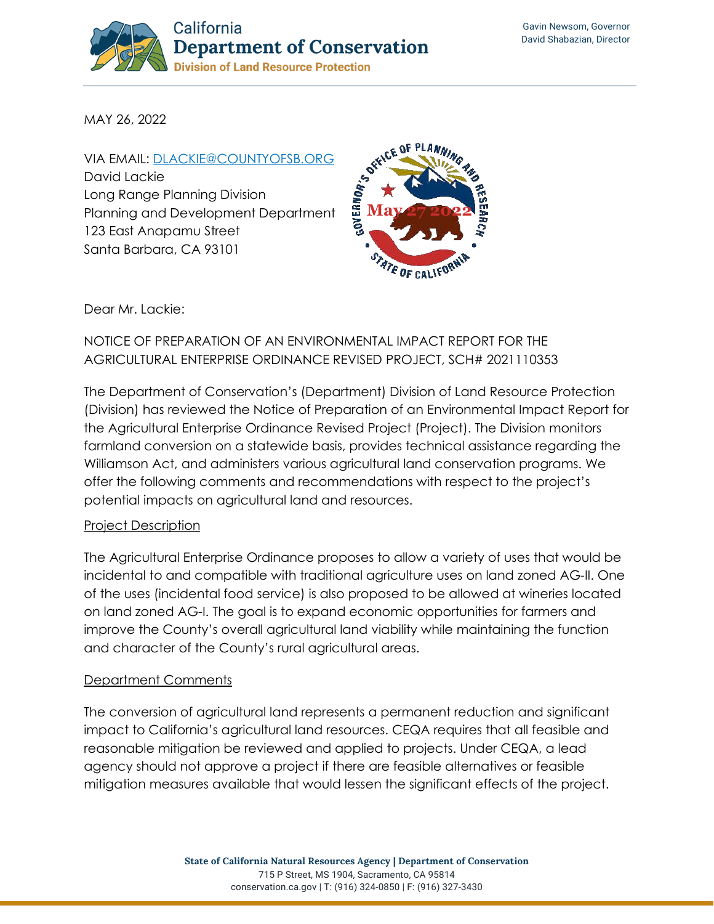

MAY 26, 2022

VIA EMAIL: [DLACKIE@COUNTYOFSB.ORG](mailto:dlackie@countyofsb.org) David Lackie Long Range Planning Division Planning and Development Department 123 East Anapamu Street Santa Barbara, CA 93101



Dear Mr. Lackie:

## NOTICE OF PREPARATION OF AN ENVIRONMENTAL IMPACT REPORT FOR THE AGRICULTURAL ENTERPRISE ORDINANCE REVISED PROJECT, SCH# 2021110353

The Department of Conservation's (Department) Division of Land Resource Protection (Division) has reviewed the Notice of Preparation of an Environmental Impact Report for the Agricultural Enterprise Ordinance Revised Project (Project). The Division monitors farmland conversion on a statewide basis, provides technical assistance regarding the Williamson Act, and administers various agricultural land conservation programs. We offer the following comments and recommendations with respect to the project's potential impacts on agricultural land and resources.

### Project Description

The Agricultural Enterprise Ordinance proposes to allow a variety of uses that would be incidental to and compatible with traditional agriculture uses on land zoned AG-II. One of the uses (incidental food service) is also proposed to be allowed at wineries located on land zoned AG-I. The goal is to expand economic opportunities for farmers and improve the County's overall agricultural land viability while maintaining the function and character of the County's rural agricultural areas.

### Department Comments

The conversion of agricultural land represents a permanent reduction and significant impact to California's agricultural land resources. CEQA requires that all feasible and reasonable mitigation be reviewed and applied to projects. Under CEQA, a lead agency should not approve a project if there are feasible alternatives or feasible mitigation measures available that would lessen the significant effects of the project.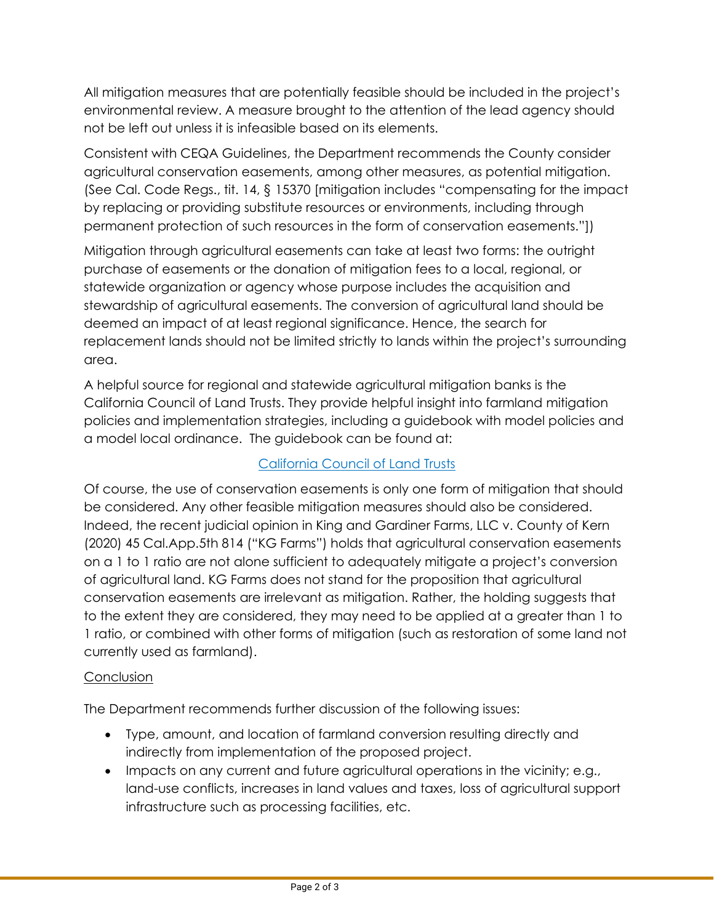All mitigation measures that are potentially feasible should be included in the project's environmental review. A measure brought to the attention of the lead agency should not be left out unless it is infeasible based on its elements.

Consistent with CEQA Guidelines, the Department recommends the County consider agricultural conservation easements, among other measures, as potential mitigation. (See Cal. Code Regs., tit. 14, § 15370 [mitigation includes "compensating for the impact by replacing or providing substitute resources or environments, including through permanent protection of such resources in the form of conservation easements."])

Mitigation through agricultural easements can take at least two forms: the outright purchase of easements or the donation of mitigation fees to a local, regional, or statewide organization or agency whose purpose includes the acquisition and stewardship of agricultural easements. The conversion of agricultural land should be deemed an impact of at least regional significance. Hence, the search for replacement lands should not be limited strictly to lands within the project's surrounding area.

A helpful source for regional and statewide agricultural mitigation banks is the California Council of Land Trusts. They provide helpful insight into farmland mitigation policies and implementation strategies, including a guidebook with model policies and a model local ordinance. The guidebook can be found at:

# [California Council of Land Trusts](https://www.calandtrusts.org/resources/conserving-californias-harvest/)

Of course, the use of conservation easements is only one form of mitigation that should be considered. Any other feasible mitigation measures should also be considered. Indeed, the recent judicial opinion in King and Gardiner Farms, LLC v. County of Kern (2020) 45 Cal.App.5th 814 ("KG Farms") holds that agricultural conservation easements on a 1 to 1 ratio are not alone sufficient to adequately mitigate a project's conversion of agricultural land. KG Farms does not stand for the proposition that agricultural conservation easements are irrelevant as mitigation. Rather, the holding suggests that to the extent they are considered, they may need to be applied at a greater than 1 to 1 ratio, or combined with other forms of mitigation (such as restoration of some land not currently used as farmland).

### **Conclusion**

The Department recommends further discussion of the following issues:

- Type, amount, and location of farmland conversion resulting directly and indirectly from implementation of the proposed project.
- Impacts on any current and future agricultural operations in the vicinity; e.g., land-use conflicts, increases in land values and taxes, loss of agricultural support infrastructure such as processing facilities, etc.